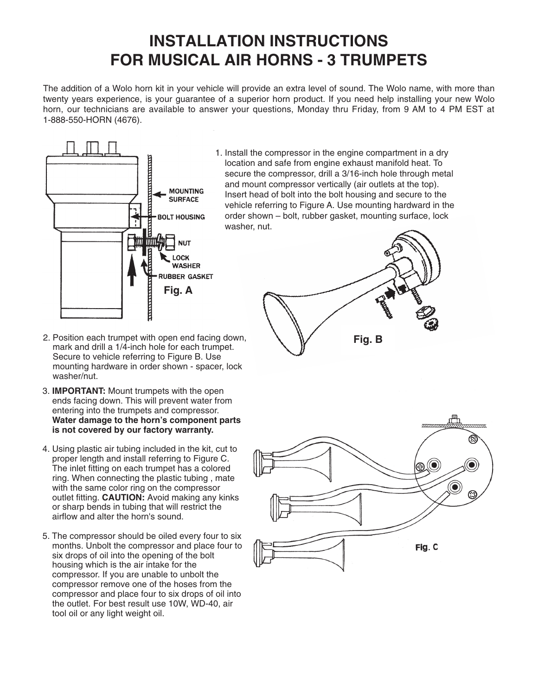# **INSTALLATION INSTRUCTIONS INSTALLATION INSTRUCTIONS FOR MUSICAL AIR HORNS – 5 TRUMPETS FOR MUSICAL AIR HORNS - 3 TRUMPETS**

The addition of a Wolo horn kit in your vehicle will provide an extra level of sound. The Wolo name, with more than twenty years experience, is your guarantee of a superior horn product. If you need help installing your new Wolo horn, our technicians are available to answer your questions, Monday thru Friday, from 9 AM to 4 PM EST at 1-888-550-HORN (4676).



1. Install the compressor in the engine compartment in a dry location and safe from engine exhaust manifold heat. To secure the compressor, drill a 3/16-inch hole through metal and mount compressor vertically (air outlets at the top). Insert head of bolt into the bolt housing and secure to the vehicle referring to Figure A. Use mounting hardward in the order shown – bolt, rubber gasket, mounting surface, lock washer, nut.



- 2. Position each trumpet with open end facing down, mark and drill a 1/4-inch hole for each trumpet. Secure to vehicle referring to Figure B. Use mounting hardware in order shown - spacer, lock washer/nut.
- 3. **IMPORTANT:** Mount trumpets with the open ends facing down. This will prevent water from entering into the trumpets and compressor. **Water damage to the horn's component parts is not covered by our factory warranty.**
- 4. Using plastic air tubing included in the kit, cut to proper length and install referring to Figure C. The inlet fitting on each trumpet has a colored ring. When connecting the plastic tubing , mate with the same color ring on the compressor outlet fitting. **CAUTION:** Avoid making any kinks or sharp bends in tubing that will restrict the airflow and alter the horn's sound.
- 5. The compressor should be oiled every four to six months. Unbolt the compressor and place four to six drops of oil into the opening of the bolt housing which is the air intake for the compressor. If you are unable to unbolt the compressor remove one of the hoses from the compressor and place four to six drops of oil into the outlet. For best result use 10W, WD-40, air tool oil or any light weight oil.